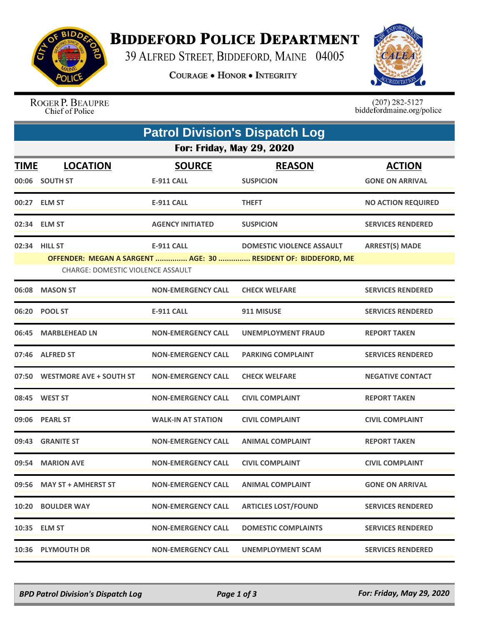

## **BIDDEFORD POLICE DEPARTMENT**

39 ALFRED STREET, BIDDEFORD, MAINE 04005

**COURAGE . HONOR . INTEGRITY** 



ROGER P. BEAUPRE Chief of Police

 $(207)$  282-5127<br>biddefordmaine.org/police

| <b>Patrol Division's Dispatch Log</b>                                                                      |                               |                           |                                  |                           |  |  |  |  |
|------------------------------------------------------------------------------------------------------------|-------------------------------|---------------------------|----------------------------------|---------------------------|--|--|--|--|
| <b>For: Friday, May 29, 2020</b>                                                                           |                               |                           |                                  |                           |  |  |  |  |
| <u>TIME</u>                                                                                                | <b>LOCATION</b>               | <b>SOURCE</b>             | <b>REASON</b>                    | <b>ACTION</b>             |  |  |  |  |
|                                                                                                            | 00:06 SOUTH ST                | <b>E-911 CALL</b>         | <b>SUSPICION</b>                 | <b>GONE ON ARRIVAL</b>    |  |  |  |  |
|                                                                                                            | 00:27 ELM ST                  | <b>E-911 CALL</b>         | <b>THEFT</b>                     | <b>NO ACTION REQUIRED</b> |  |  |  |  |
|                                                                                                            | 02:34 ELM ST                  | <b>AGENCY INITIATED</b>   | <b>SUSPICION</b>                 | <b>SERVICES RENDERED</b>  |  |  |  |  |
|                                                                                                            | 02:34 HILL ST                 | <b>E-911 CALL</b>         | <b>DOMESTIC VIOLENCE ASSAULT</b> | <b>ARREST(S) MADE</b>     |  |  |  |  |
| OFFENDER: MEGAN A SARGENT  AGE: 30  RESIDENT OF: BIDDEFORD, ME<br><b>CHARGE: DOMESTIC VIOLENCE ASSAULT</b> |                               |                           |                                  |                           |  |  |  |  |
|                                                                                                            | 06:08 MASON ST                | <b>NON-EMERGENCY CALL</b> | <b>CHECK WELFARE</b>             | <b>SERVICES RENDERED</b>  |  |  |  |  |
|                                                                                                            | 06:20 POOL ST                 | <b>E-911 CALL</b>         | 911 MISUSE                       | <b>SERVICES RENDERED</b>  |  |  |  |  |
|                                                                                                            | 06:45 MARBLEHEAD LN           | <b>NON-EMERGENCY CALL</b> | <b>UNEMPLOYMENT FRAUD</b>        | <b>REPORT TAKEN</b>       |  |  |  |  |
|                                                                                                            | 07:46 ALFRED ST               | <b>NON-EMERGENCY CALL</b> | <b>PARKING COMPLAINT</b>         | <b>SERVICES RENDERED</b>  |  |  |  |  |
|                                                                                                            | 07:50 WESTMORE AVE + SOUTH ST | <b>NON-EMERGENCY CALL</b> | <b>CHECK WELFARE</b>             | <b>NEGATIVE CONTACT</b>   |  |  |  |  |
|                                                                                                            | 08:45 WEST ST                 | <b>NON-EMERGENCY CALL</b> | <b>CIVIL COMPLAINT</b>           | <b>REPORT TAKEN</b>       |  |  |  |  |
|                                                                                                            | 09:06 PEARL ST                | <b>WALK-IN AT STATION</b> | <b>CIVIL COMPLAINT</b>           | <b>CIVIL COMPLAINT</b>    |  |  |  |  |
|                                                                                                            | 09:43 GRANITE ST              | <b>NON-EMERGENCY CALL</b> | <b>ANIMAL COMPLAINT</b>          | <b>REPORT TAKEN</b>       |  |  |  |  |
|                                                                                                            | 09:54 MARION AVE              | <b>NON-EMERGENCY CALL</b> | <b>CIVIL COMPLAINT</b>           | <b>CIVIL COMPLAINT</b>    |  |  |  |  |
|                                                                                                            | 09:56 MAY ST + AMHERST ST     | <b>NON-EMERGENCY CALL</b> | <b>ANIMAL COMPLAINT</b>          | <b>GONE ON ARRIVAL</b>    |  |  |  |  |
|                                                                                                            | 10:20 BOULDER WAY             | <b>NON-EMERGENCY CALL</b> | <b>ARTICLES LOST/FOUND</b>       | <b>SERVICES RENDERED</b>  |  |  |  |  |
|                                                                                                            | 10:35 ELM ST                  | <b>NON-EMERGENCY CALL</b> | <b>DOMESTIC COMPLAINTS</b>       | <b>SERVICES RENDERED</b>  |  |  |  |  |
|                                                                                                            | 10:36 PLYMOUTH DR             | <b>NON-EMERGENCY CALL</b> | UNEMPLOYMENT SCAM                | <b>SERVICES RENDERED</b>  |  |  |  |  |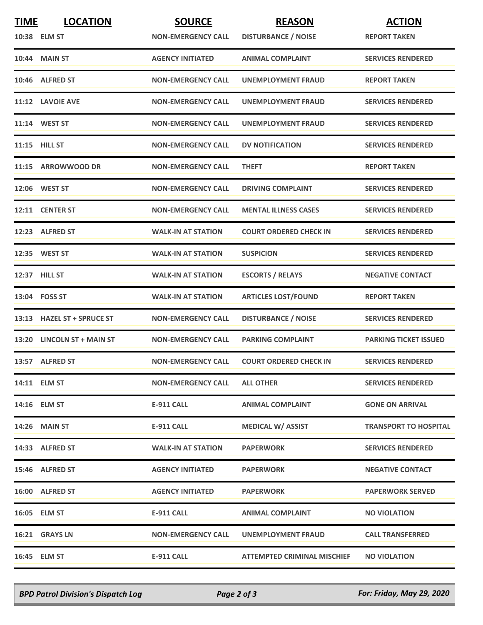| <b>TIME</b> | <b>LOCATION</b>            | <b>SOURCE</b>             | <b>REASON</b>                 | <b>ACTION</b>                |
|-------------|----------------------------|---------------------------|-------------------------------|------------------------------|
|             | 10:38 ELM ST               | <b>NON-EMERGENCY CALL</b> | <b>DISTURBANCE / NOISE</b>    | <b>REPORT TAKEN</b>          |
|             | <b>10:44 MAIN ST</b>       | <b>AGENCY INITIATED</b>   | <b>ANIMAL COMPLAINT</b>       | <b>SERVICES RENDERED</b>     |
|             | 10:46 ALFRED ST            | <b>NON-EMERGENCY CALL</b> | UNEMPLOYMENT FRAUD            | <b>REPORT TAKEN</b>          |
|             | 11:12 LAVOIE AVE           | <b>NON-EMERGENCY CALL</b> | UNEMPLOYMENT FRAUD            | <b>SERVICES RENDERED</b>     |
|             | 11:14 WEST ST              | <b>NON-EMERGENCY CALL</b> | <b>UNEMPLOYMENT FRAUD</b>     | <b>SERVICES RENDERED</b>     |
|             | 11:15 HILL ST              | <b>NON-EMERGENCY CALL</b> | <b>DV NOTIFICATION</b>        | <b>SERVICES RENDERED</b>     |
|             | 11:15 ARROWWOOD DR         | <b>NON-EMERGENCY CALL</b> | <b>THEFT</b>                  | <b>REPORT TAKEN</b>          |
|             | 12:06 WEST ST              | <b>NON-EMERGENCY CALL</b> | <b>DRIVING COMPLAINT</b>      | <b>SERVICES RENDERED</b>     |
|             | 12:11 CENTER ST            | <b>NON-EMERGENCY CALL</b> | <b>MENTAL ILLNESS CASES</b>   | <b>SERVICES RENDERED</b>     |
|             | 12:23 ALFRED ST            | <b>WALK-IN AT STATION</b> | <b>COURT ORDERED CHECK IN</b> | <b>SERVICES RENDERED</b>     |
|             | 12:35 WEST ST              | <b>WALK-IN AT STATION</b> | <b>SUSPICION</b>              | <b>SERVICES RENDERED</b>     |
|             | 12:37 HILL ST              | <b>WALK-IN AT STATION</b> | <b>ESCORTS / RELAYS</b>       | <b>NEGATIVE CONTACT</b>      |
|             | 13:04    FOSS ST           | <b>WALK-IN AT STATION</b> | <b>ARTICLES LOST/FOUND</b>    | <b>REPORT TAKEN</b>          |
|             | 13:13 HAZEL ST + SPRUCE ST | <b>NON-EMERGENCY CALL</b> | <b>DISTURBANCE / NOISE</b>    | <b>SERVICES RENDERED</b>     |
|             | 13:20 LINCOLN ST + MAIN ST | <b>NON-EMERGENCY CALL</b> | <b>PARKING COMPLAINT</b>      | <b>PARKING TICKET ISSUED</b> |
|             | 13:57 ALFRED ST            | <b>NON-EMERGENCY CALL</b> | <b>COURT ORDERED CHECK IN</b> | <b>SERVICES RENDERED</b>     |
|             | 14:11 ELM ST               | <b>NON-EMERGENCY CALL</b> | <b>ALL OTHER</b>              | <b>SERVICES RENDERED</b>     |
|             | 14:16 ELM ST               | E-911 CALL                | <b>ANIMAL COMPLAINT</b>       | <b>GONE ON ARRIVAL</b>       |
|             | <b>14:26 MAIN ST</b>       | <b>E-911 CALL</b>         | <b>MEDICAL W/ ASSIST</b>      | <b>TRANSPORT TO HOSPITAL</b> |
|             | 14:33 ALFRED ST            | <b>WALK-IN AT STATION</b> | <b>PAPERWORK</b>              | <b>SERVICES RENDERED</b>     |
|             | 15:46 ALFRED ST            | <b>AGENCY INITIATED</b>   | <b>PAPERWORK</b>              | <b>NEGATIVE CONTACT</b>      |
|             | 16:00 ALFRED ST            | <b>AGENCY INITIATED</b>   | <b>PAPERWORK</b>              | <b>PAPERWORK SERVED</b>      |
|             | 16:05 ELM ST               | E-911 CALL                | <b>ANIMAL COMPLAINT</b>       | <b>NO VIOLATION</b>          |
|             | <b>16:21 GRAYS LN</b>      | <b>NON-EMERGENCY CALL</b> | UNEMPLOYMENT FRAUD            | <b>CALL TRANSFERRED</b>      |
|             | 16:45 ELM ST               | <b>E-911 CALL</b>         | ATTEMPTED CRIMINAL MISCHIEF   | <b>NO VIOLATION</b>          |

*BPD Patrol Division's Dispatch Log Page 2 of 3 For: Friday, May 29, 2020*